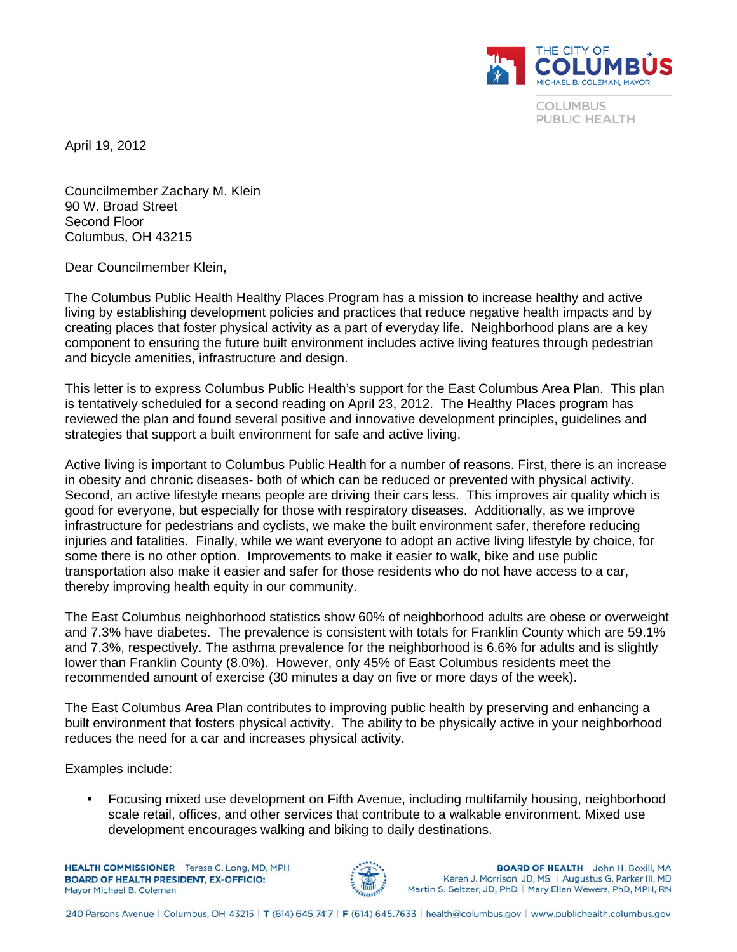

**COLUMBUS** PUBLIC HEALTH

April 19, 2012

Councilmember Zachary M. Klein 90 W. Broad Street Second Floor Columbus, OH 43215

Dear Councilmember Klein,

The Columbus Public Health Healthy Places Program has a mission to increase healthy and active living by establishing development policies and practices that reduce negative health impacts and by creating places that foster physical activity as a part of everyday life. Neighborhood plans are a key component to ensuring the future built environment includes active living features through pedestrian and bicycle amenities, infrastructure and design.

This letter is to express Columbus Public Health's support for the East Columbus Area Plan. This plan is tentatively scheduled for a second reading on April 23, 2012. The Healthy Places program has reviewed the plan and found several positive and innovative development principles, guidelines and strategies that support a built environment for safe and active living.

Active living is important to Columbus Public Health for a number of reasons. First, there is an increase in obesity and chronic diseases- both of which can be reduced or prevented with physical activity. Second, an active lifestyle means people are driving their cars less. This improves air quality which is good for everyone, but especially for those with respiratory diseases. Additionally, as we improve infrastructure for pedestrians and cyclists, we make the built environment safer, therefore reducing injuries and fatalities. Finally, while we want everyone to adopt an active living lifestyle by choice, for some there is no other option. Improvements to make it easier to walk, bike and use public transportation also make it easier and safer for those residents who do not have access to a car, thereby improving health equity in our community.

The East Columbus neighborhood statistics show 60% of neighborhood adults are obese or overweight and 7.3% have diabetes. The prevalence is consistent with totals for Franklin County which are 59.1% and 7.3%, respectively. The asthma prevalence for the neighborhood is 6.6% for adults and is slightly lower than Franklin County (8.0%). However, only 45% of East Columbus residents meet the recommended amount of exercise (30 minutes a day on five or more days of the week).

The East Columbus Area Plan contributes to improving public health by preserving and enhancing a built environment that fosters physical activity. The ability to be physically active in your neighborhood reduces the need for a car and increases physical activity.

Examples include:

 Focusing mixed use development on Fifth Avenue, including multifamily housing, neighborhood scale retail, offices, and other services that contribute to a walkable environment. Mixed use development encourages walking and biking to daily destinations.

**HEALTH COMMISSIONER** | Teresa C. Long, MD, MPH **BOARD OF HEALTH PRESIDENT, EX-OFFICIO:** Mayor Michael B, Coleman



**BOARD OF HEALTH | John H. Boxill, MA** Karen J. Morrison, JD, MS | Augustus G. Parker III, MD Martin S. Seltzer, JD, PhD | Mary Ellen Wewers, PhD, MPH, RN